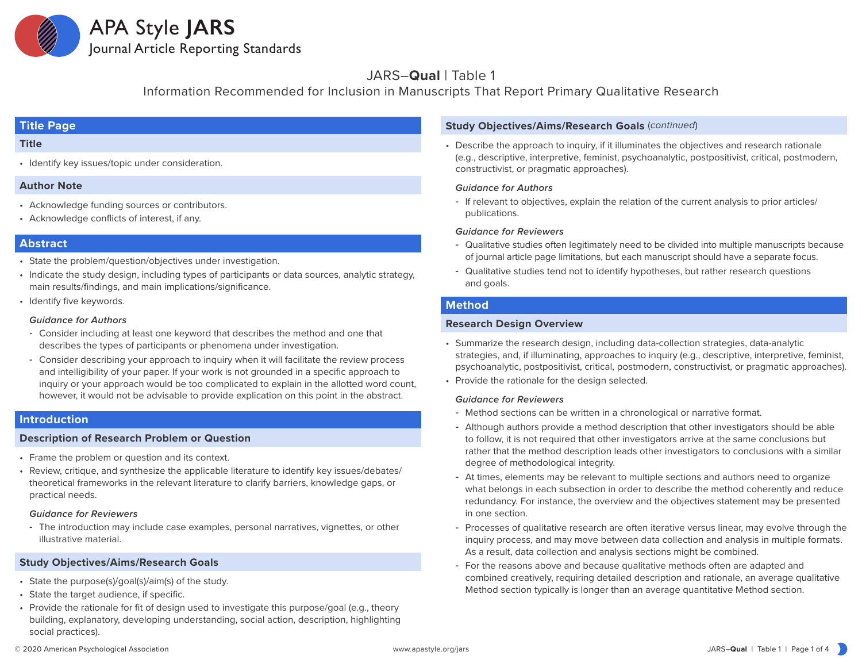

# JARS–**Qual** | Table 1

Information Recommended for Inclusion in Manuscripts That Report Primary Qualitative Research

# **Title Page**

# **Title**

• Identify key issues/topic under consideration.

# **Author Note**

- Acknowledge funding sources or contributors.
- Acknowledge conflicts of interest, if any.

# **Abstract**

- State the problem/question/objectives under investigation.
- Indicate the study design, including types of participants or data sources, analytic strategy, main results/findings, and main implications/significance.
- Identify five keywords.

### *Guidance for Authors*

- ‒ Consider including at least one keyword that describes the method and one that describes the types of participants or phenomena under investigation.
- ‒ Consider describing your approach to inquiry when it will facilitate the review process and intelligibility of your paper. If your work is not grounded in a specific approach to inquiry or your approach would be too complicated to explain in the allotted word count, however, it would not be advisable to provide explication on this point in the abstract.

# **Introduction**

# **Description of Research Problem or Question**

- Frame the problem or question and its context.
- Review, critique, and synthesize the applicable literature to identify key issues/debates/ theoretical frameworks in the relevant literature to clarify barriers, knowledge gaps, or practical needs.

#### *Guidance for Reviewers*

‒ The introduction may include case examples, personal narratives, vignettes, or other illustrative material.

# **Study Objectives/Aims/Research Goals**

- State the purpose(s)/goal(s)/aim(s) of the study.
- State the target audience, if specific.
- Provide the rationale for fit of design used to investigate this purpose/goal (e.g., theory building, explanatory, developing understanding, social action, description, highlighting social practices).

# **Study Objectives/Aims/Research Goals** (*continued*)

• Describe the approach to inquiry, if it illuminates the objectives and research rationale (e.g., descriptive, interpretive, feminist, psychoanalytic, postpositivist, critical, postmodern, constructivist, or pragmatic approaches).

#### *Guidance for Authors*

‒ If relevant to objectives, explain the relation of the current analysis to prior articles/ publications.

### *Guidance for Reviewers*

- ‒ Qualitative studies often legitimately need to be divided into multiple manuscripts because of journal article page limitations, but each manuscript should have a separate focus.
- ‒ Qualitative studies tend not to identify hypotheses, but rather research questions and goals.

# **Method**

# **Research Design Overview**

- Summarize the research design, including data-collection strategies, data-analytic strategies, and, if illuminating, approaches to inquiry (e.g., descriptive, interpretive, feminist, psychoanalytic, postpositivist, critical, postmodern, constructivist, or pragmatic approaches).
- Provide the rationale for the design selected.

# *Guidance for Reviewers*

- Method sections can be written in a chronological or narrative format.
- ‒ Although authors provide a method description that other investigators should be able to follow, it is not required that other investigators arrive at the same conclusions but rather that the method description leads other investigators to conclusions with a similar degree of methodological integrity.
- ‒ At times, elements may be relevant to multiple sections and authors need to organize what belongs in each subsection in order to describe the method coherently and reduce redundancy. For instance, the overview and the objectives statement may be presented in one section.
- ‒ Processes of qualitative research are often iterative versus linear, may evolve through the inquiry process, and may move between data collection and analysis in multiple formats. As a result, data collection and analysis sections might be combined.
- ‒ For the reasons above and because qualitative methods often are adapted and combined creatively, requiring detailed description and rationale, an average qualitative Method section typically is longer than an average quantitative Method section.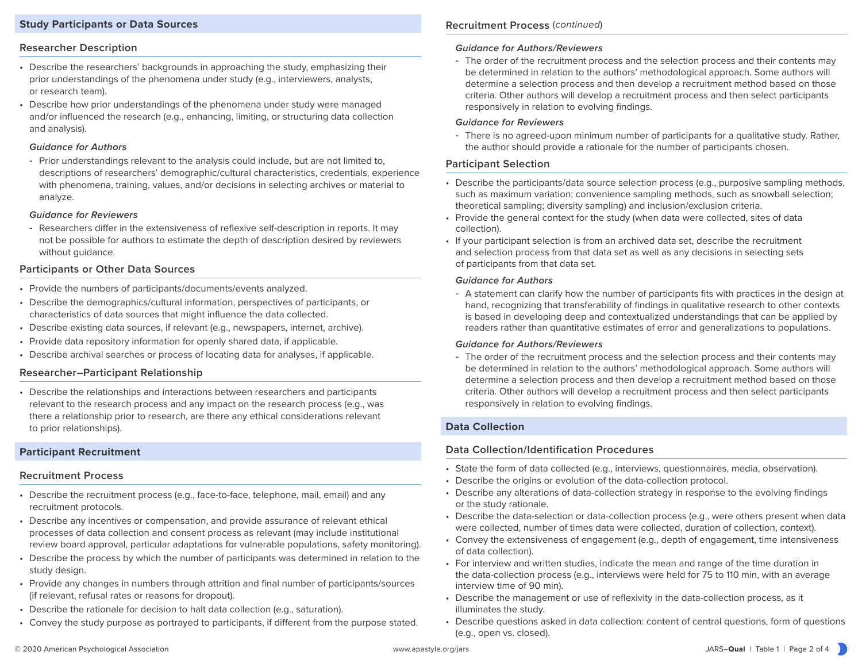# **Study Participants or Data Sources**

# **Researcher Description**

- Describe the researchers' backgrounds in approaching the study, emphasizing their prior understandings of the phenomena under study (e.g., interviewers, analysts, or research team).
- Describe how prior understandings of the phenomena under study were managed and/or influenced the research (e.g., enhancing, limiting, or structuring data collection and analysis).

#### *Guidance for Authors*

‒ Prior understandings relevant to the analysis could include, but are not limited to, descriptions of researchers' demographic/cultural characteristics, credentials, experience with phenomena, training, values, and/or decisions in selecting archives or material to analyze.

#### *Guidance for Reviewers*

‒ Researchers differ in the extensiveness of reflexive self-description in reports. It may not be possible for authors to estimate the depth of description desired by reviewers without guidance.

### **Participants or Other Data Sources**

- Provide the numbers of participants/documents/events analyzed.
- Describe the demographics/cultural information, perspectives of participants, or characteristics of data sources that might influence the data collected.
- Describe existing data sources, if relevant (e.g., newspapers, internet, archive).
- Provide data repository information for openly shared data, if applicable.
- Describe archival searches or process of locating data for analyses, if applicable.

# **Researcher–Participant Relationship**

• Describe the relationships and interactions between researchers and participants relevant to the research process and any impact on the research process (e.g., was there a relationship prior to research, are there any ethical considerations relevant to prior relationships).

# **Participant Recruitment**

#### **Recruitment Process**

- Describe the recruitment process (e.g., face-to-face, telephone, mail, email) and any recruitment protocols.
- Describe any incentives or compensation, and provide assurance of relevant ethical processes of data collection and consent process as relevant (may include institutional review board approval, particular adaptations for vulnerable populations, safety monitoring).
- Describe the process by which the number of participants was determined in relation to the study design.
- Provide any changes in numbers through attrition and final number of participants/sources (if relevant, refusal rates or reasons for dropout).
- Describe the rationale for decision to halt data collection (e.g., saturation).
- Convey the study purpose as portrayed to participants, if different from the purpose stated.

# **Recruitment Process** (*continued*)

# *Guidance for Authors/Reviewers*

‒ The order of the recruitment process and the selection process and their contents may be determined in relation to the authors' methodological approach. Some authors will determine a selection process and then develop a recruitment method based on those criteria. Other authors will develop a recruitment process and then select participants responsively in relation to evolving findings.

#### *Guidance for Reviewers*

‒ There is no agreed-upon minimum number of participants for a qualitative study. Rather, the author should provide a rationale for the number of participants chosen.

# **Participant Selection**

- Describe the participants/data source selection process (e.g., purposive sampling methods, such as maximum variation; convenience sampling methods, such as snowball selection; theoretical sampling; diversity sampling) and inclusion/exclusion criteria.
- Provide the general context for the study (when data were collected, sites of data collection).
- If your participant selection is from an archived data set, describe the recruitment and selection process from that data set as well as any decisions in selecting sets of participants from that data set.

#### *Guidance for Authors*

‒ A statement can clarify how the number of participants fits with practices in the design at hand, recognizing that transferability of findings in qualitative research to other contexts is based in developing deep and contextualized understandings that can be applied by readers rather than quantitative estimates of error and generalizations to populations.

#### *Guidance for Authors/Reviewers*

‒ The order of the recruitment process and the selection process and their contents may be determined in relation to the authors' methodological approach. Some authors will determine a selection process and then develop a recruitment method based on those criteria. Other authors will develop a recruitment process and then select participants responsively in relation to evolving findings.

# **Data Collection**

# **Data Collection/Identification Procedures**

- State the form of data collected (e.g., interviews, questionnaires, media, observation).
- Describe the origins or evolution of the data-collection protocol.
- Describe any alterations of data-collection strategy in response to the evolving findings or the study rationale.
- Describe the data-selection or data-collection process (e.g., were others present when data were collected, number of times data were collected, duration of collection, context).
- Convey the extensiveness of engagement (e.g., depth of engagement, time intensiveness of data collection).
- For interview and written studies, indicate the mean and range of the time duration in the data-collection process (e.g., interviews were held for 75 to 110 min, with an average interview time of 90 min).
- Describe the management or use of reflexivity in the data-collection process, as it illuminates the study.
- Describe questions asked in data collection: content of central questions, form of questions (e.g., open vs. closed).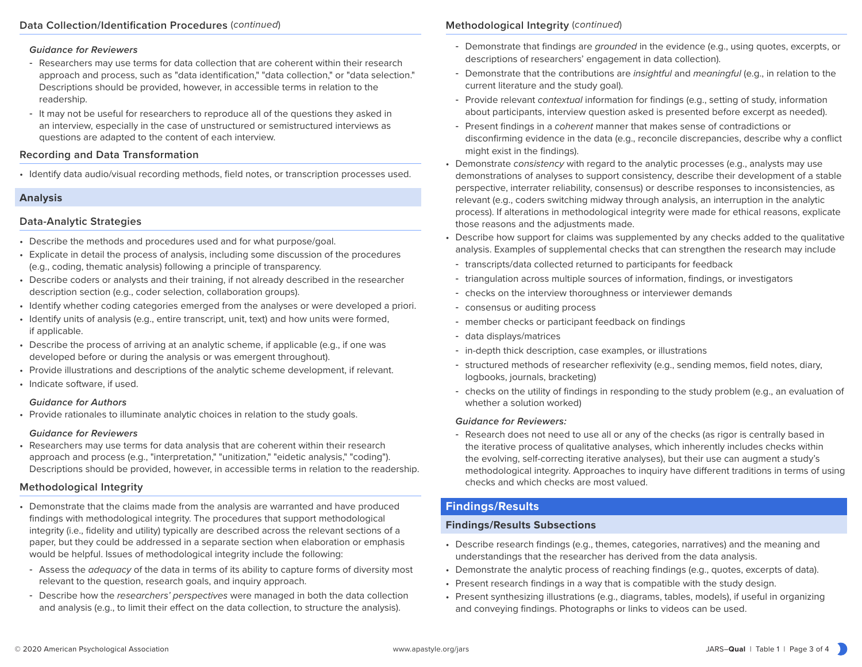#### *Guidance for Reviewers*

- ‒ Researchers may use terms for data collection that are coherent within their research approach and process, such as "data identification," "data collection," or "data selection." Descriptions should be provided, however, in accessible terms in relation to the readership.
- ‒ It may not be useful for researchers to reproduce all of the questions they asked in an interview, especially in the case of unstructured or semistructured interviews as questions are adapted to the content of each interview.

# **Recording and Data Transformation**

• Identify data audio/visual recording methods, field notes, or transcription processes used.

# **Analysis**

# **Data-Analytic Strategies**

- Describe the methods and procedures used and for what purpose/goal.
- Explicate in detail the process of analysis, including some discussion of the procedures (e.g., coding, thematic analysis) following a principle of transparency.
- Describe coders or analysts and their training, if not already described in the researcher description section (e.g., coder selection, collaboration groups).
- Identify whether coding categories emerged from the analyses or were developed a priori.
- Identify units of analysis (e.g., entire transcript, unit, text) and how units were formed, if applicable.
- Describe the process of arriving at an analytic scheme, if applicable (e.g., if one was developed before or during the analysis or was emergent throughout).
- Provide illustrations and descriptions of the analytic scheme development, if relevant.
- Indicate software, if used.

#### *Guidance for Authors*

• Provide rationales to illuminate analytic choices in relation to the study goals.

#### *Guidance for Reviewers*

• Researchers may use terms for data analysis that are coherent within their research approach and process (e.g., "interpretation," "unitization," "eidetic analysis," "coding"). Descriptions should be provided, however, in accessible terms in relation to the readership.

# **Methodological Integrity**

- Demonstrate that the claims made from the analysis are warranted and have produced findings with methodological integrity. The procedures that support methodological integrity (i.e., fidelity and utility) typically are described across the relevant sections of a paper, but they could be addressed in a separate section when elaboration or emphasis would be helpful. Issues of methodological integrity include the following:
- ‒ Assess the *adequacy* of the data in terms of its ability to capture forms of diversity most relevant to the question, research goals, and inquiry approach.
- ‒ Describe how the *researchers' perspectives* were managed in both the data collection and analysis (e.g., to limit their effect on the data collection, to structure the analysis).

# **Methodological Integrity** (*continued*)

- ‒ Demonstrate that findings are *grounded* in the evidence (e.g., using quotes, excerpts, or descriptions of researchers' engagement in data collection).
- ‒ Demonstrate that the contributions are *insightful* and *meaningful* (e.g., in relation to the current literature and the study goal).
- ‒ Provide relevant *contextual* information for findings (e.g., setting of study, information about participants, interview question asked is presented before excerpt as needed).
- ‒ Present findings in a *coherent* manner that makes sense of contradictions or disconfirming evidence in the data (e.g., reconcile discrepancies, describe why a conflict might exist in the findings).
- Demonstrate *consistency* with regard to the analytic processes (e.g., analysts may use demonstrations of analyses to support consistency, describe their development of a stable perspective, interrater reliability, consensus) or describe responses to inconsistencies, as relevant (e.g., coders switching midway through analysis, an interruption in the analytic process). If alterations in methodological integrity were made for ethical reasons, explicate those reasons and the adjustments made.
- Describe how support for claims was supplemented by any checks added to the qualitative analysis. Examples of supplemental checks that can strengthen the research may include
	- ‒ transcripts/data collected returned to participants for feedback
	- ‒ triangulation across multiple sources of information, findings, or investigators
	- ‒ checks on the interview thoroughness or interviewer demands
	- ‒ consensus or auditing process
	- member checks or participant feedback on findings
	- ‒ data displays/matrices
	- in-depth thick description, case examples, or illustrations
	- ‒ structured methods of researcher reflexivity (e.g., sending memos, field notes, diary, logbooks, journals, bracketing)
	- ‒ checks on the utility of findings in responding to the study problem (e.g., an evaluation of whether a solution worked)

#### *Guidance for Reviewers:*

- Research does not need to use all or any of the checks (as rigor is centrally based in the iterative process of qualitative analyses, which inherently includes checks within the evolving, self-correcting iterative analyses), but their use can augment a study's methodological integrity. Approaches to inquiry have different traditions in terms of using checks and which checks are most valued.

# **Findings/Results**

#### **Findings/Results Subsections**

- Describe research findings (e.g., themes, categories, narratives) and the meaning and understandings that the researcher has derived from the data analysis.
- Demonstrate the analytic process of reaching findings (e.g., quotes, excerpts of data).
- Present research findings in a way that is compatible with the study design.
- Present synthesizing illustrations (e.g., diagrams, tables, models), if useful in organizing and conveying findings. Photographs or links to videos can be used.